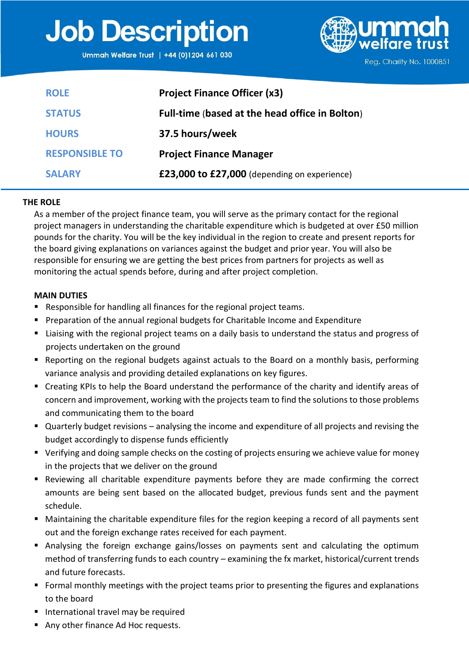# **Job Description**

Ummah Welfare Trust | +44 (0)1204 661 030



**ROLE STATUS HOURS RESPONSIBLE TO SALARY Project Finance Officer (x3) Full-time** (**based at the head office in Bolton**) **37.5 hours/week Project Finance Manager £23,000 to £27,000** (depending on experience)

# **THE ROLE**

As a member of the project finance team, you will serve as the primary contact for the regional project managers in understanding the charitable expenditure which is budgeted at over £50 million pounds for the charity. You will be the key individual in the region to create and present reports for the board giving explanations on variances against the budget and prior year. You will also be responsible for ensuring we are getting the best prices from partners for projects as well as monitoring the actual spends before, during and after project completion.

### **MAIN DUTIES**

- Responsible for handling all finances for the regional project teams.
- Preparation of the annual regional budgets for Charitable Income and Expenditure
- Liaising with the regional project teams on a daily basis to understand the status and progress of projects undertaken on the ground
- Reporting on the regional budgets against actuals to the Board on a monthly basis, performing variance analysis and providing detailed explanations on key figures.
- Creating KPIs to help the Board understand the performance of the charity and identify areas of concern and improvement, working with the projects team to find the solutions to those problems and communicating them to the board
- Quarterly budget revisions analysing the income and expenditure of all projects and revising the budget accordingly to dispense funds efficiently
- Verifying and doing sample checks on the costing of projects ensuring we achieve value for money in the projects that we deliver on the ground
- Reviewing all charitable expenditure payments before they are made confirming the correct amounts are being sent based on the allocated budget, previous funds sent and the payment schedule.
- Maintaining the charitable expenditure files for the region keeping a record of all payments sent out and the foreign exchange rates received for each payment.
- Analysing the foreign exchange gains/losses on payments sent and calculating the optimum method of transferring funds to each country – examining the fx market, historical/current trends and future forecasts.
- Formal monthly meetings with the project teams prior to presenting the figures and explanations to the board
- International travel may be required
- Any other finance Ad Hoc requests.